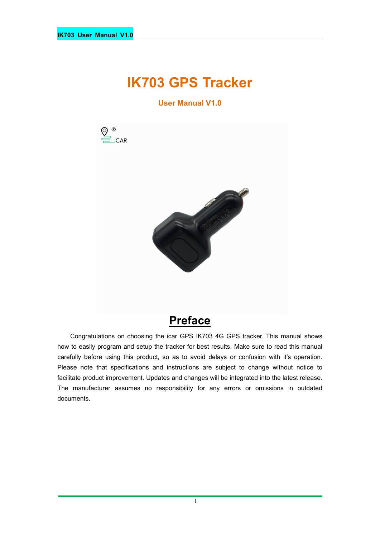# **IK703 GPS Tracker**

**User Manual V1.0**



# **Preface**

Congratulations on choosing the icar GPS IK703 4G GPS tracker. This manual shows how to easily program and setup the tracker for best results. Make sure to read this manual carefully before using this product, so as to avoid delays or confusion with it's operation. Please note that specifications and instructions are subject to change without notice to facilitate product improvement. Updates and changes will be integrated into the latest release. The manufacturer assumes no responsibility for any errors or omissions in outdated documents.

1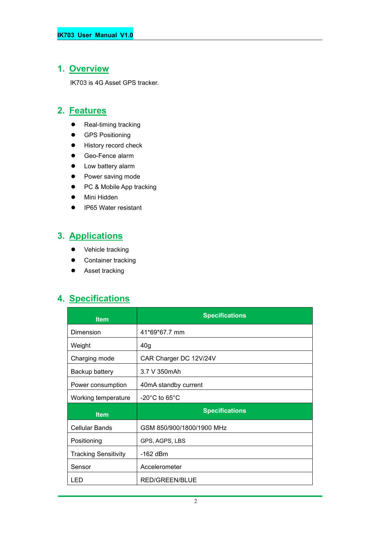### **1. Overview**

IK703 is 4G Asset GPS tracker.

### **2. Features**

- Real-timing tracking
- **•** GPS Positioning
- **•** History record check
- Geo-Fence alarm
- Low battery alarm
- Power saving mode
- PC & Mobile App tracking
- Mini Hidden
- IP65 Water resistant

### **3. Applications**

- Vehicle tracking
- **•** Container tracking
- **•** Asset tracking

### **4. Specifications**

| <b>Item</b>                 | <b>Specifications</b>              |
|-----------------------------|------------------------------------|
| Dimension                   | 41*69*67.7 mm                      |
| Weight                      | 40 <sub>g</sub>                    |
| Charging mode               | CAR Charger DC 12V/24V             |
| Backup battery              | 3.7 V 350mAh                       |
| Power consumption           | 40mA standby current               |
| Working temperature         | $-20^{\circ}$ C to 65 $^{\circ}$ C |
| <b>Item</b>                 | <b>Specifications</b>              |
| Cellular Bands              | GSM 850/900/1800/1900 MHz          |
| Positioning                 | GPS, AGPS, LBS                     |
| <b>Tracking Sensitivity</b> | -162 dBm                           |
| Sensor                      | Accelerometer                      |
| LED                         | RED/GREEN/BLUE                     |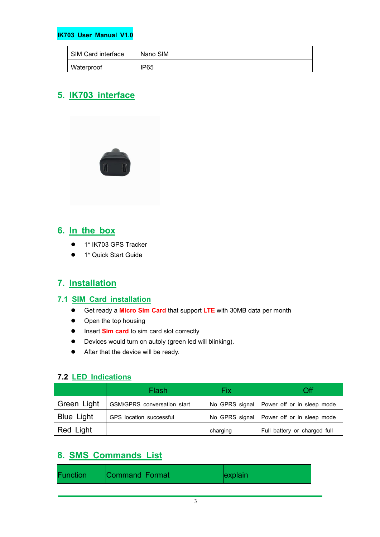#### **IK703 User Manual V1.0**

| SIM Card interface | Nano SIM         |
|--------------------|------------------|
| Waterproof         | IP <sub>65</sub> |

### **5. IK703 interface**



### **6. In the box**

- 1\* IK703 GPS Tracker
- **•** 1\* Quick Start Guide

### **7. Installation**

#### **7.1 SIM Card installation**

- Get ready a **Micro Sim Card** that support **LTE** with 30MB data per month
- Open the top housing
- $\bullet$  Insert **Sim card** to sim card slot correctly
- Devices would turn on autoly (green led will blinking).
- After that the device will be ready.

#### **7.2 LED Indications**

|                   | Flash                       | Fix      | Эff                                         |
|-------------------|-----------------------------|----------|---------------------------------------------|
| Green Light       | GSM/GPRS conversation start |          | No GPRS signal   Power off or in sleep mode |
| <b>Blue Light</b> | GPS location successful     |          | No GPRS signal   Power off or in sleep mode |
| Red Light         |                             | charging | Full battery or charged full                |

### **8. SMS Commands List**

| Command Format<br>Function<br>explain |
|---------------------------------------|
|---------------------------------------|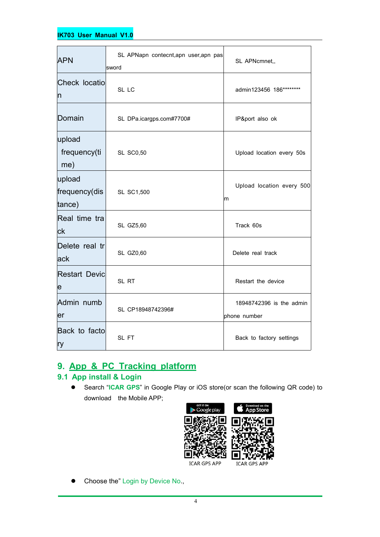#### **IK703 User Manual V1.0**

| <b>APN</b>                               | SL APNapn contecnt, apn user, apn pas<br>∣sword | SL APNcmnet,,                            |
|------------------------------------------|-------------------------------------------------|------------------------------------------|
| Check locatio<br>$\overline{\mathsf{n}}$ | SL LC                                           | admin123456 186********                  |
| Domain                                   | SL DPa.icargps.com#7700#                        | IP&port also ok                          |
| upload<br>frequency(ti<br>me)            | <b>SL SC0,50</b>                                | Upload location every 50s                |
| upload<br>frequency(dis<br>tance)        | SL SC1,500                                      | Upload location every 500<br>Ιm          |
| Real time tra<br> ck                     | SL GZ5,60                                       | Track 60s                                |
| Delete real tr<br>ack                    | SL GZ0,60                                       | Delete real track                        |
| <b>Restart Devic</b><br>e                | SL RT                                           | Restart the device                       |
| Admin numb<br>er                         | SL CP18948742396#                               | 18948742396 is the admin<br>phone number |
| Back to facto<br>ry                      | SL FT                                           | Back to factory settings                 |

## **9. App & PC Tracking platform**

### **9.1 App install & Login**

 Search "**ICAR GPS**" in Google Play or iOS store(or scan the following QR code) to download the Mobile APP;



• Choose the" Login by Device No.,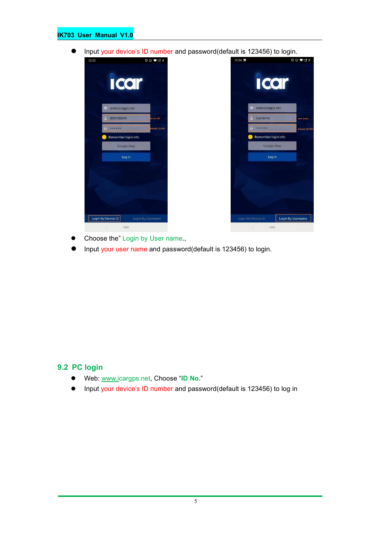#### **IK703 User Manual V1.0**

Input your device's ID number and password(default is 123456) to login.





- Choose the" Login by User name.,
- Input your user name and password(default is 123456) to login.

#### **9.2 PC login**

- Web: [www.ic](http://www.trackits.com)argps.net, Choose "**ID No**."
- Input your device's ID number and password(default is 123456) to log in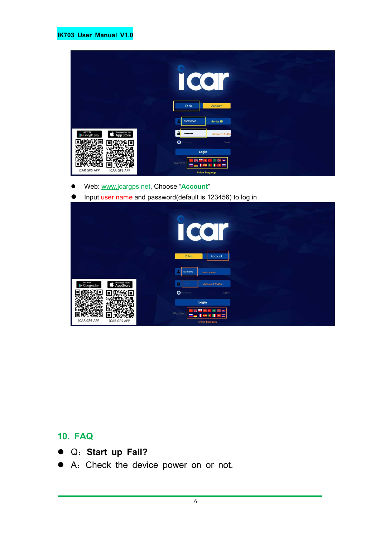|                                                                 | L.<br>ID No.<br>Account                                            |
|-----------------------------------------------------------------|--------------------------------------------------------------------|
|                                                                 | 808108848<br>device ID                                             |
| Download on the<br>GET IT ON<br><b>App Store</b><br>Google play | $\mathbf{a}$<br>default 123456<br>                                 |
|                                                                 | $\bullet$<br>enember<br>Demo                                       |
| <b>ICAR GPS APP</b><br><b>ICAR GPS APP</b>                      | Login<br>We offer<br>٠<br>$\overline{a}$<br><b>Select language</b> |

- Web: [www.ic](http://www.trackits.com)argps.net, Choose "**Account**"
- **Input user name and password(default is 123456) to log in**

|                                                                 | CO<br>I                                                                           |
|-----------------------------------------------------------------|-----------------------------------------------------------------------------------|
|                                                                 | ID No.<br>Account<br>icardemo<br>user name                                        |
| GET IT ON<br>Download on the<br><b>App Store</b><br>Google play | default 123456<br><br>$\bullet$<br>enember<br>Demo                                |
| <b>ICAR GPS APP</b><br><b>ICAR GPS APP</b>                      | Login<br>÷<br>瑞<br>7,440<br>We offer<br>a i<br><b>COL</b><br>×<br>select language |

### **10. FAQ**

- Q:**Start up Fail?**
- A:Check the device power on or not.